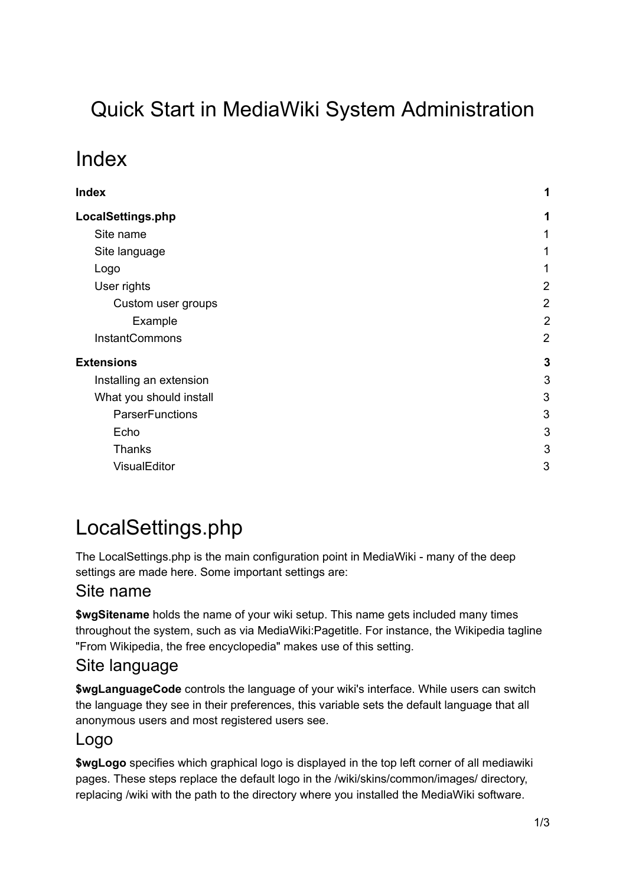# Quick Start in MediaWiki System Administration

## <span id="page-0-0"></span>Index

| LocalSettings.php<br>Site name<br>Site language<br>Logo<br>User rights<br>Custom user groups<br>Example<br>InstantCommons<br><b>Extensions</b><br>Installing an extension<br>What you should install<br><b>ParserFunctions</b><br>Echo<br>Thanks<br>VisualEditor | Index | 1              |
|------------------------------------------------------------------------------------------------------------------------------------------------------------------------------------------------------------------------------------------------------------------|-------|----------------|
|                                                                                                                                                                                                                                                                  |       | 1              |
|                                                                                                                                                                                                                                                                  |       | 1              |
|                                                                                                                                                                                                                                                                  |       | 1              |
|                                                                                                                                                                                                                                                                  |       | 1              |
|                                                                                                                                                                                                                                                                  |       | 2              |
|                                                                                                                                                                                                                                                                  |       | $\overline{2}$ |
|                                                                                                                                                                                                                                                                  |       | 2              |
|                                                                                                                                                                                                                                                                  |       | $\overline{2}$ |
|                                                                                                                                                                                                                                                                  |       | $\mathbf{3}$   |
|                                                                                                                                                                                                                                                                  |       | 3              |
|                                                                                                                                                                                                                                                                  |       | 3              |
|                                                                                                                                                                                                                                                                  |       | 3              |
|                                                                                                                                                                                                                                                                  |       | 3              |
|                                                                                                                                                                                                                                                                  |       | 3              |
|                                                                                                                                                                                                                                                                  |       | 3              |

# <span id="page-0-1"></span>LocalSettings.php

The LocalSettings.php is the main configuration point in MediaWiki - many of the deep settings are made here. Some important settings are:

## <span id="page-0-2"></span>Site name

**\$wgSitename** holds the name of your wiki setup. This name gets included many times throughout the system, such as via MediaWiki:Pagetitle. For instance, the Wikipedia tagline "From Wikipedia, the free encyclopedia" makes use of this setting.

## <span id="page-0-3"></span>Site language

**\$wgLanguageCode** controls the language of your wiki's interface. While users can switch the language they see in their preferences, this variable sets the default language that all anonymous users and most registered users see.

## <span id="page-0-4"></span>Logo

**\$wgLogo** specifies which graphical logo is displayed in the top left corner of all mediawiki pages. These steps replace the default logo in the /wiki/skins/common/images/ directory, replacing /wiki with the path to the directory where you installed the MediaWiki software.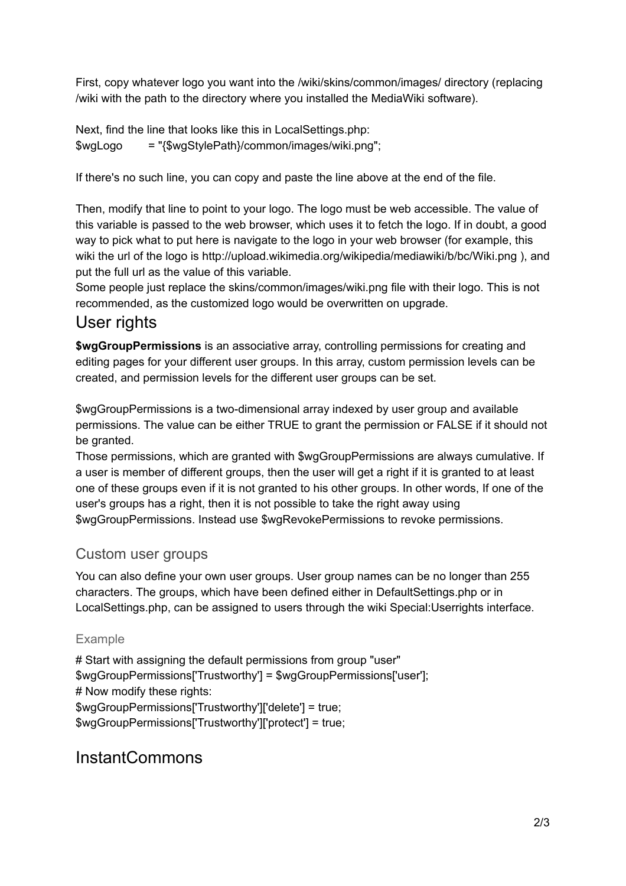First, copy whatever logo you want into the /wiki/skins/common/images/ directory (replacing /wiki with the path to the directory where you installed the MediaWiki software).

Next, find the line that looks like this in LocalSettings.php: \$wgLogo = "{\$wgStylePath}/common/images/wiki.png";

If there's no such line, you can copy and paste the line above at the end of the file.

Then, modify that line to point to your logo. The logo must be web accessible. The value of this variable is passed to the web browser, which uses it to fetch the logo. If in doubt, a good way to pick what to put here is navigate to the logo in your web browser (for example, this wiki the url of the logo is http://upload.wikimedia.org/wikipedia/mediawiki/b/bc/Wiki.png ), and put the full url as the value of this variable.

Some people just replace the skins/common/images/wiki.png file with their logo. This is not recommended, as the customized logo would be overwritten on upgrade.

## <span id="page-1-0"></span>User rights

**\$wgGroupPermissions** is an associative array, controlling permissions for creating and editing pages for your different user groups. In this array, custom permission levels can be created, and permission levels for the different user groups can be set.

\$wgGroupPermissions is a two-dimensional array indexed by user group and available permissions. The value can be either TRUE to grant the permission or FALSE if it should not be granted.

Those permissions, which are granted with \$wgGroupPermissions are always cumulative. If a user is member of different groups, then the user will get a right if it is granted to at least one of these groups even if it is not granted to his other groups. In other words, If one of the user's groups has a right, then it is not possible to take the right away using \$wgGroupPermissions. Instead use \$wgRevokePermissions to revoke permissions.

### <span id="page-1-1"></span>Custom user groups

You can also define your own user groups. User group names can be no longer than 255 characters. The groups, which have been defined either in DefaultSettings.php or in LocalSettings.php, can be assigned to users through the wiki Special:Userrights interface.

#### <span id="page-1-2"></span>Example

# Start with assigning the default permissions from group "user" \$wgGroupPermissions['Trustworthy'] = \$wgGroupPermissions['user']; # Now modify these rights: \$wgGroupPermissions['Trustworthy']['delete'] = true; \$wgGroupPermissions['Trustworthy']['protect'] = true;

## <span id="page-1-3"></span>InstantCommons